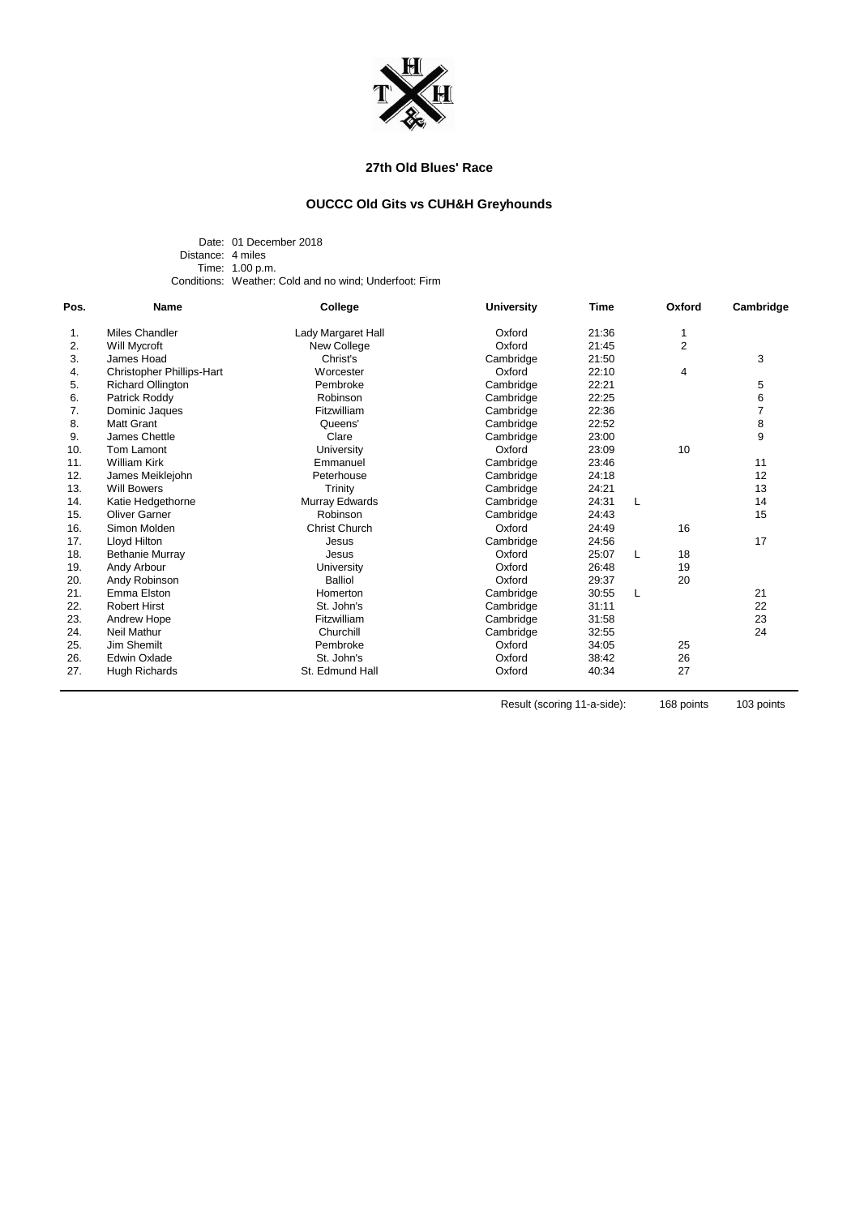

# **27th Old Blues' Race**

# **OUCCC Old Gits vs CUH&H Greyhounds**

Date: 01 December 2018 Distance: 4 miles Time: 1.00 p.m. Conditions: Weather: Cold and no wind; Underfoot: Firm

| Pos. | <b>Name</b>                      | College              | <b>University</b> | <b>Time</b> | Oxford<br>1    | Cambridge      |
|------|----------------------------------|----------------------|-------------------|-------------|----------------|----------------|
| 1.   | Miles Chandler                   | Lady Margaret Hall   | Oxford            | 21:36       |                |                |
| 2.   | Will Mycroft                     | New College          | Oxford            | 21:45       | $\overline{2}$ |                |
| 3.   | James Hoad                       | Christ's             | Cambridge         | 21:50       |                | 3              |
| 4.   | <b>Christopher Phillips-Hart</b> | Worcester            | Oxford            | 22:10       | 4              |                |
| 5.   | <b>Richard Ollington</b>         | Pembroke             | Cambridge         | 22:21       |                | 5              |
| 6.   | Patrick Roddy                    | Robinson             | Cambridge         | 22:25       |                | 6              |
| 7.   | Dominic Jaques                   | Fitzwilliam          | Cambridge         | 22:36       |                | $\overline{7}$ |
| 8.   | <b>Matt Grant</b>                | Queens'              | Cambridge         | 22:52       |                | 8              |
| 9.   | James Chettle                    | Clare                | Cambridge         | 23:00       |                | 9              |
| 10.  | Tom Lamont                       | University           | Oxford            | 23:09       | 10             |                |
| 11.  | <b>William Kirk</b>              | Emmanuel             | Cambridge         | 23:46       |                | 11             |
| 12.  | James Meiklejohn                 | Peterhouse           | Cambridge         | 24:18       |                | 12             |
| 13.  | <b>Will Bowers</b>               | Trinity              | Cambridge         | 24:21       |                | 13             |
| 14.  | Katie Hedgethorne                | Murray Edwards       | Cambridge         | 24:31       | L              | 14             |
| 15.  | <b>Oliver Garner</b>             | Robinson             | Cambridge         | 24:43       |                | 15             |
| 16.  | Simon Molden                     | <b>Christ Church</b> | Oxford            | 24:49       | 16             |                |
| 17.  | Lloyd Hilton                     | Jesus                | Cambridge         | 24:56       |                | 17             |
| 18.  | <b>Bethanie Murray</b>           | Jesus                | Oxford            | 25:07       | 18<br>L        |                |
| 19.  | Andy Arbour                      | University           | Oxford            | 26:48       | 19             |                |
| 20.  | Andy Robinson                    | <b>Balliol</b>       | Oxford            | 29:37       | 20             |                |
| 21.  | Emma Elston                      | Homerton             | Cambridge         | 30:55       | L              | 21             |
| 22.  | <b>Robert Hirst</b>              | St. John's           | Cambridge         | 31:11       |                | 22             |
| 23.  | Andrew Hope                      | Fitzwilliam          | Cambridge         | 31:58       |                | 23             |
| 24.  | Neil Mathur                      | Churchill            | Cambridge         | 32:55       |                | 24             |
| 25.  | Jim Shemilt                      | Pembroke             | Oxford            | 34:05       | 25             |                |
| 26.  | <b>Edwin Oxlade</b>              | St. John's           | Oxford            | 38:42       | 26             |                |
| 27.  | Hugh Richards                    | St. Edmund Hall      | Oxford            | 40:34       | 27             |                |

Result (scoring 11-a-side): 168 points 103 points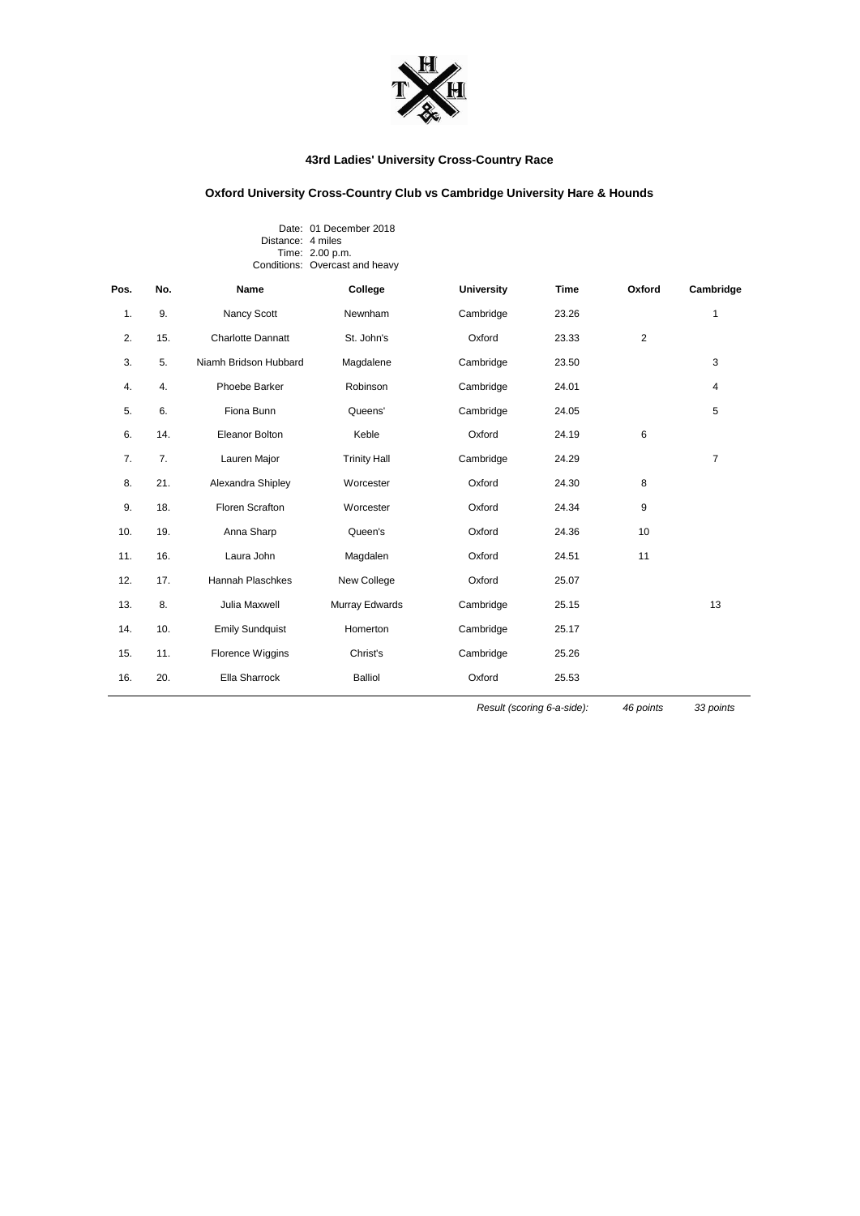

## **43rd Ladies' University Cross-Country Race**

## **Oxford University Cross-Country Club vs Cambridge University Hare & Hounds**

#### Date: 01 December 2018 Distance: 4 miles Time: 2.00 p.m. Conditions: Overcast and heavy

| Pos. | No. | Name                     | College             | <b>University</b> | <b>Time</b> | Oxford | Cambridge      |
|------|-----|--------------------------|---------------------|-------------------|-------------|--------|----------------|
| 1.   | 9.  | Nancy Scott              | Newnham             | Cambridge         | 23.26       |        | 1              |
| 2.   | 15. | <b>Charlotte Dannatt</b> | St. John's          | Oxford            | 23.33       | 2      |                |
| 3.   | 5.  | Niamh Bridson Hubbard    | Magdalene           | Cambridge         | 23.50       |        | 3              |
| 4.   | 4.  | Phoebe Barker            | Robinson            | Cambridge         | 24.01       |        | 4              |
| 5.   | 6.  | Fiona Bunn               | Queens'             | Cambridge         | 24.05       |        | 5              |
| 6.   | 14. | <b>Eleanor Bolton</b>    | Keble               | Oxford            | 24.19       | 6      |                |
| 7.   | 7.  | Lauren Major             | <b>Trinity Hall</b> | Cambridge         | 24.29       |        | $\overline{7}$ |
| 8.   | 21. | Alexandra Shipley        | Worcester           | Oxford            | 24.30       | 8      |                |
| 9.   | 18. | Floren Scrafton          | Worcester           | Oxford            | 24.34       | 9      |                |
| 10.  | 19. | Anna Sharp               | Queen's             | Oxford            | 24.36       | 10     |                |
| 11.  | 16. | Laura John               | Magdalen            | Oxford            | 24.51       | 11     |                |
| 12.  | 17. | <b>Hannah Plaschkes</b>  | New College         | Oxford            | 25.07       |        |                |
| 13.  | 8.  | Julia Maxwell            | Murray Edwards      | Cambridge         | 25.15       |        | 13             |
| 14.  | 10. | <b>Emily Sundquist</b>   | Homerton            | Cambridge         | 25.17       |        |                |
| 15.  | 11. | Florence Wiggins         | Christ's            | Cambridge         | 25.26       |        |                |
| 16.  | 20. | Ella Sharrock            | <b>Balliol</b>      | Oxford            | 25.53       |        |                |

*Result (scoring 6-a-side): 46 points 33 points*